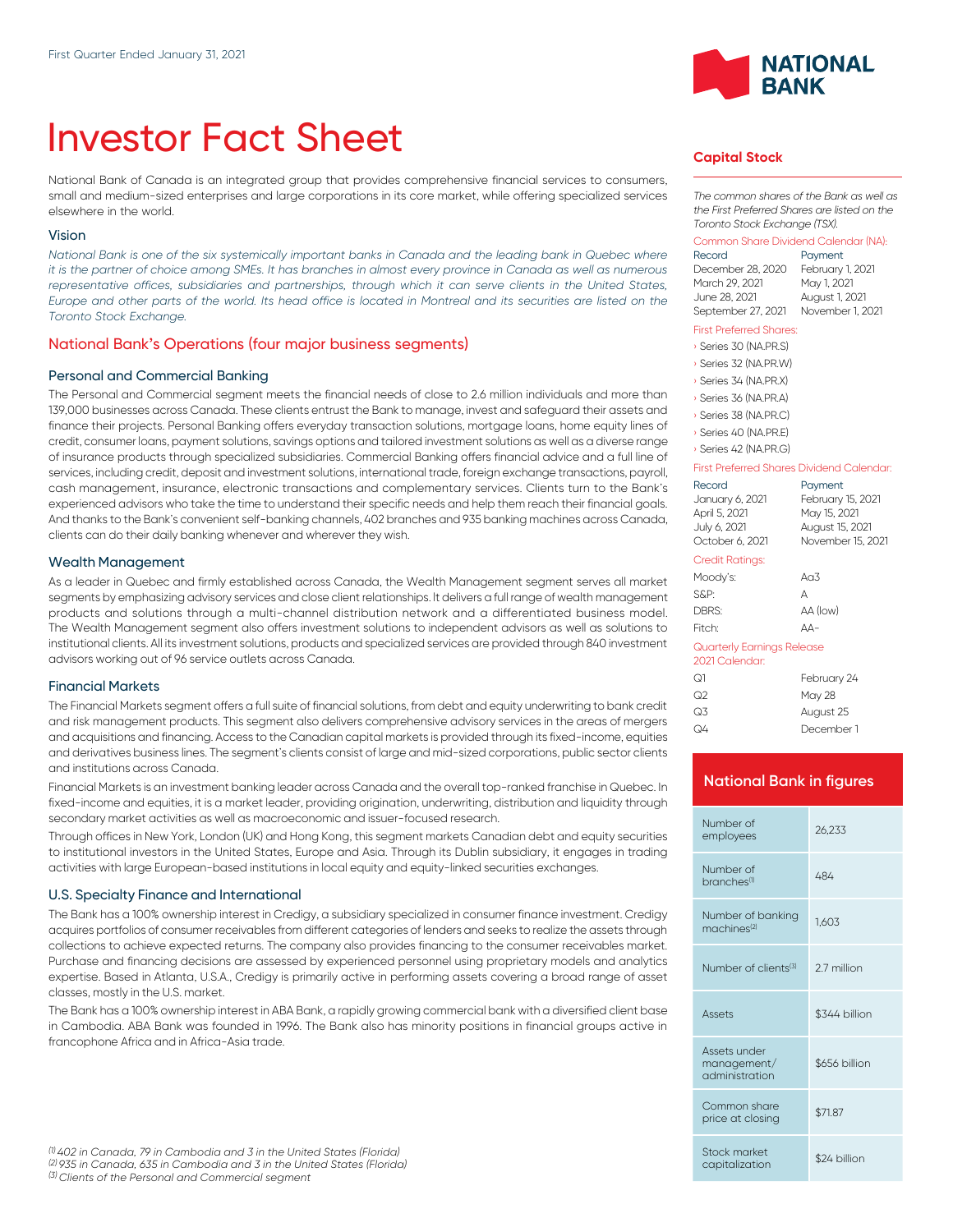# Investor Fact Sheet

National Bank of Canada is an integrated group that provides comprehensive financial services to consumers, small and medium-sized enterprises and large corporations in its core market, while offering specialized services elsewhere in the world.

## Vision

*National Bank is one of the six systemically important banks in Canada and the leading bank in Quebec where it is the partner of choice among SMEs. It has branches in almost every province in Canada as well as numerous* representative offices, subsidiaries and partnerships, through which it can serve clients in the United States, *Europe and other parts of the world. Its head office is located in Montreal and its securities are listed on the Toronto Stock Exchange.*

# National Bank's Operations (four major business segments)

## Personal and Commercial Banking

The Personal and Commercial segment meets the financial needs of close to 2.6 million individuals and more than 139,000 businesses across Canada. These clients entrust the Bank to manage, invest and safeguard their assets and finance their projects. Personal Banking offers everyday transaction solutions, mortgage loans, home equity lines of credit, consumer loans, payment solutions, savings options and tailored investment solutions as well as a diverse range of insurance products through specialized subsidiaries. Commercial Banking offers financial advice and a full line of services, including credit, deposit and investment solutions, international trade, foreign exchange transactions, payroll, cash management, insurance, electronic transactions and complementary services. Clients turn to the Bank's experienced advisors who take the time to understand their specific needs and help them reach their financial goals. And thanks to the Bank's convenient self-banking channels, 402 branches and 935 banking machines across Canada, clients can do their daily banking whenever and wherever they wish.

#### Wealth Management

As a leader in Quebec and firmly established across Canada, the Wealth Management segment serves all market segments by emphasizing advisory services and close client relationships. lt delivers a full range of wealth management products and solutions through a multi-channel distribution network and a differentiated business model. The Wealth Management segment also offers investment solutions to independent advisors as well as solutions to institutional clients. All its investment solutions, products and specialized services are provided through 840 investment advisors working out of 96 service outlets across Canada.

## Financial Markets

The Financial Markets segment offers a full suite of financial solutions, from debt and equity underwriting to bank credit and risk management products. This segment also delivers comprehensive advisory services in the areas of mergers and acquisitions and financing. Access to the Canadian capital markets is provided through its fixed-income, equities and derivatives business lines. The segment's clients consist of large and mid-sized corporations, public sector clients and institutions across Canada.

Financial Markets is an investment banking leader across Canada and the overall top-ranked franchise in Quebec. In fixed-income and equities, it is a market leader, providing origination, underwriting, distribution and liquidity through secondary market activities as well as macroeconomic and issuer-focused research.

Through offices in New York, London (UK) and Hong Kong, this segment markets Canadian debt and equity securities to institutional investors in the United States, Europe and Asia. Through its Dublin subsidiary, it engages in trading activities with large European-based institutions in local equity and equity-linked securities exchanges.

## U.S. Specialty Finance and International

The Bank has a 100% ownership interest in Credigy, a subsidiary specialized in consumer finance investment. Credigy acquires portfolios of consumer receivables from different categories of lenders and seeks to realize the assets through collections to achieve expected returns. The company also provides financing to the consumer receivables market. Purchase and financing decisions are assessed by experienced personnel using proprietary models and analytics expertise. Based in Atlanta, U.S.A., Credigy is primarily active in performing assets covering a broad range of asset classes, mostly in the U.S. market.

The Bank has a 100% ownership interest in ABA Bank, a rapidly growing commercial bank with a diversified client base in Cambodia. ABA Bank was founded in 1996. The Bank also has minority positions in financial groups active in francophone Africa and in Africa-Asia trade.



## **Capital Stock**

*The common shares of the Bank as well as the First Preferred Shares are listed on the Toronto Stock Exchange (TSX).*

## Common Share Dividend Calendar (NA):

| Record             | Payment          |
|--------------------|------------------|
| December 28, 2020  | February 1, 2021 |
| March 29, 2021     | May 1, 2021      |
| June 28, 2021      | August 1, 2021   |
| September 27, 2021 | November 1, 2021 |

#### First Preferred Shares:

| Series 30 (NA.PR.S) |
|---------------------|
| Series 32 (NA.PR.W) |
| Series 34 (NA.PR.X) |
| Series 36 (NA.PR.A) |
| Series 38 (NA.PR.C) |
| Series 40 (NA.PR.E) |

#### › Series 42 (NA.PR.G)

#### First Preferred Shares Dividend Calendar:

| Record                                       | Payment           |
|----------------------------------------------|-------------------|
| January 6, 2021                              | February 15, 2021 |
| April 5, 2021                                | May 15, 2021      |
| July 6, 2021                                 | August 15, 2021   |
| October 6, 2021                              | November 15, 2021 |
| Credit Ratings:                              |                   |
| Moody's:                                     | An3               |
| S&P:                                         | А                 |
| DBRS:                                        | AA (low)          |
| Fitch:                                       | ΔД-               |
| Quarterly Earnings Release<br>2021 Calendar: |                   |
|                                              |                   |

| ೧1 | February 24   |
|----|---------------|
| ೧2 | <b>May 28</b> |
| Q3 | August 25     |
| Q4 | December 1    |

# **National Bank in figures**

| 26,233        |  |
|---------------|--|
| 484           |  |
| 1.603         |  |
| 27 million    |  |
| \$344 billion |  |
| \$656 billion |  |
| \$71.87       |  |
| \$24 billion  |  |
|               |  |